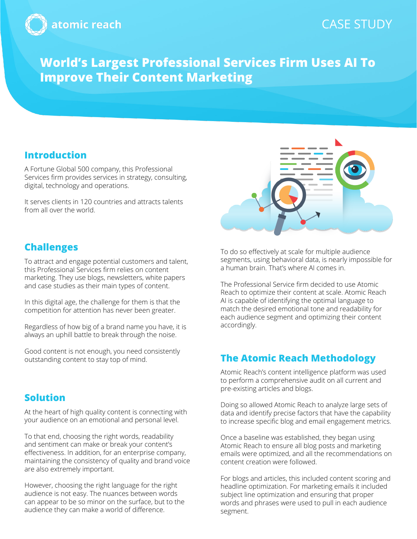

## CASE STUDY

# **World's Largest Professional Services Firm Uses AI To Improve Their Content Marketing**

## **Introduction**

A Fortune Global 500 company, this Professional Services firm provides services in strategy, consulting, digital, technology and operations.

It serves clients in 120 countries and attracts talents from all over the world.



## **Challenges**

To attract and engage potential customers and talent, this Professional Services firm relies on content marketing. They use blogs, newsletters, white papers and case studies as their main types of content.

In this digital age, the challenge for them is that the competition for attention has never been greater.

Regardless of how big of a brand name you have, it is always an uphill battle to break through the noise.

Good content is not enough, you need consistently outstanding content to stay top of mind.

### **Solution**

At the heart of high quality content is connecting with your audience on an emotional and personal level.

To that end, choosing the right words, readability and sentiment can make or break your content's effectiveness. In addition, for an enterprise company, maintaining the consistency of quality and brand voice are also extremely important.

However, choosing the right language for the right audience is not easy. The nuances between words can appear to be so minor on the surface, but to the audience they can make a world of difference.

To do so effectively at scale for multiple audience segments, using behavioral data, is nearly impossible for a human brain. That's where AI comes in.

The Professional Service firm decided to use Atomic Reach to optimize their content at scale. Atomic Reach AI is capable of identifying the optimal language to match the desired emotional tone and readability for each audience segment and optimizing their content accordingly.

## **The Atomic Reach Methodology**

Atomic Reach's content intelligence platform was used to perform a comprehensive audit on all current and pre-existing articles and blogs.

Doing so allowed Atomic Reach to analyze large sets of data and identify precise factors that have the capability to increase specific blog and email engagement metrics.

Once a baseline was established, they began using Atomic Reach to ensure all blog posts and marketing emails were optimized, and all the recommendations on content creation were followed.

For blogs and articles, this included content scoring and headline optimization. For marketing emails it included subject line optimization and ensuring that proper words and phrases were used to pull in each audience segment.